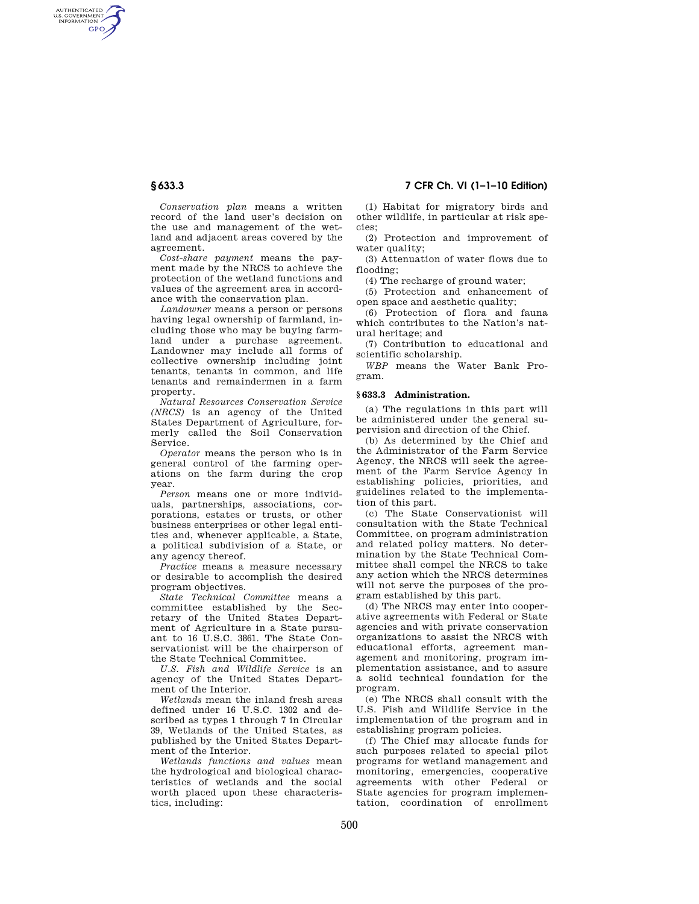AUTHENTICATED<br>U.S. GOVERNMENT<br>INFORMATION **GPO** 

> *Conservation plan* means a written record of the land user's decision on the use and management of the wetland and adjacent areas covered by the agreement.

*Cost-share payment* means the payment made by the NRCS to achieve the protection of the wetland functions and values of the agreement area in accordance with the conservation plan.

*Landowner* means a person or persons having legal ownership of farmland, including those who may be buying farmland under a purchase agreement. Landowner may include all forms of collective ownership including joint tenants, tenants in common, and life tenants and remaindermen in a farm property.

*Natural Resources Conservation Service (NRCS)* is an agency of the United States Department of Agriculture, formerly called the Soil Conservation Service.

*Operator* means the person who is in general control of the farming operations on the farm during the crop year.

*Person* means one or more individuals, partnerships, associations, corporations, estates or trusts, or other business enterprises or other legal entities and, whenever applicable, a State, a political subdivision of a State, or any agency thereof.

*Practice* means a measure necessary or desirable to accomplish the desired program objectives.

*State Technical Committee* means a committee established by the Secretary of the United States Department of Agriculture in a State pursuant to 16 U.S.C. 3861. The State Conservationist will be the chairperson of the State Technical Committee.

*U.S. Fish and Wildlife Service* is an agency of the United States Department of the Interior.

*Wetlands* mean the inland fresh areas defined under 16 U.S.C. 1302 and described as types 1 through 7 in Circular 39, Wetlands of the United States, as published by the United States Department of the Interior.

*Wetlands functions and values* mean the hydrological and biological characteristics of wetlands and the social worth placed upon these characteristics, including:

# **§ 633.3 7 CFR Ch. VI (1–1–10 Edition)**

(1) Habitat for migratory birds and other wildlife, in particular at risk species;

(2) Protection and improvement of water quality:

(3) Attenuation of water flows due to flooding;

(4) The recharge of ground water;

(5) Protection and enhancement of open space and aesthetic quality;

(6) Protection of flora and fauna which contributes to the Nation's natural heritage; and

(7) Contribution to educational and scientific scholarship.

*WBP* means the Water Bank Program.

## **§ 633.3 Administration.**

(a) The regulations in this part will be administered under the general supervision and direction of the Chief.

(b) As determined by the Chief and the Administrator of the Farm Service Agency, the NRCS will seek the agreement of the Farm Service Agency in establishing policies, priorities, and guidelines related to the implementation of this part.

(c) The State Conservationist will consultation with the State Technical Committee, on program administration and related policy matters. No determination by the State Technical Committee shall compel the NRCS to take any action which the NRCS determines will not serve the purposes of the program established by this part.

(d) The NRCS may enter into cooperative agreements with Federal or State agencies and with private conservation organizations to assist the NRCS with educational efforts, agreement management and monitoring, program implementation assistance, and to assure a solid technical foundation for the program.

(e) The NRCS shall consult with the U.S. Fish and Wildlife Service in the implementation of the program and in establishing program policies.

(f) The Chief may allocate funds for such purposes related to special pilot programs for wetland management and monitoring, emergencies, cooperative agreements with other Federal or State agencies for program implementation, coordination of enrollment